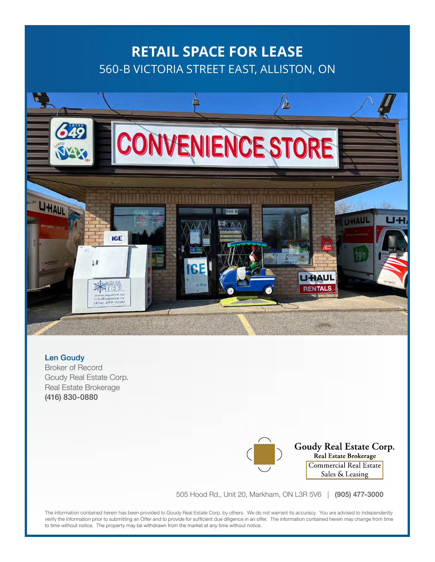# **RETAIL SPACE FOR LEASE** 560-B VICTORIA STREET EAST, ALLISTON, ON



Len Goudy Broker of Record Goudy Real Estate Corp. Real Estate Brokerage (416) 830-0880

Goudy Real Estate Corp. Real Estate Brokerage Commercial Real Estate Sales & Leasing

505 Hood Rd., Unit 20, Markham, ON L3R 5V6 | (905) 477-3000

The information contained herein has been provided to Goudy Real Estate Corp. by others. We do not warrant its accuracy. You are advised to independently verify the information prior to submitting an Offer and to provide for sufficient due diligence in an offer. The information contained herein may change from time to time without notice. The property may be withdrawn from the market at any time without notice.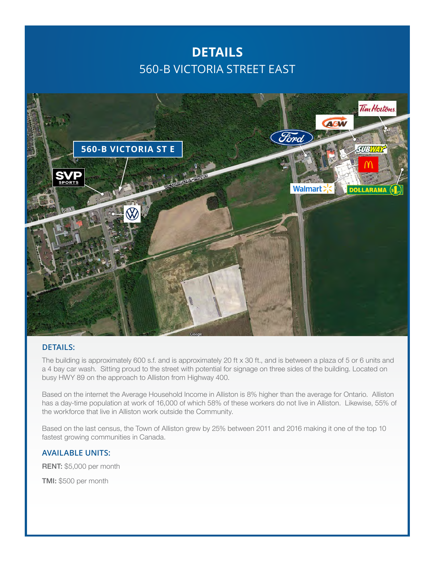### **DETAILS** 560-B VICTORIA STREET EAST



#### **DETAILS:**

The building is approximately 600 s.f. and is approximately 20 ft x 30 ft., and is between a plaza of 5 or 6 units and a 4 bay car wash. Sitting proud to the street with potential for signage on three sides of the building. Located on busy HWY 89 on the approach to Alliston from Highway 400.

Based on the internet the Average Household Income in Alliston is 8% higher than the average for Ontario. Alliston has a day-time population at work of 16,000 of which 58% of these workers do not live in Alliston. Likewise, 55% of the workforce that live in Alliston work outside the Community.

Based on the last census, the Town of Alliston grew by 25% between 2011 and 2016 making it one of the top 10 fastest growing communities in Canada.

#### **AVAILABLE UNITS:**

RENT: \$5,000 per month

TMI: \$500 per month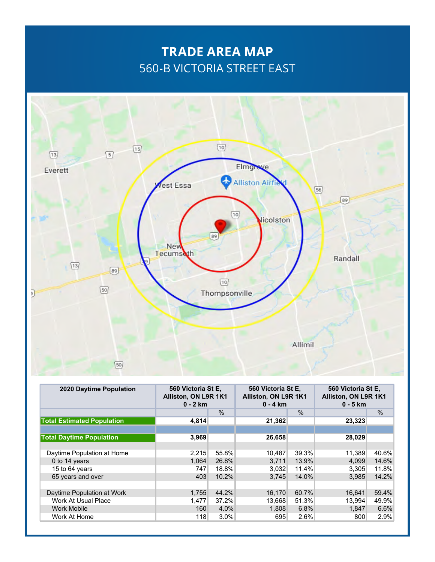## **TRADE AREA MAP** 560-B VICTORIA STREET EAST



| <b>2020 Daytime Population</b>    | 560 Victoria St E.<br>Alliston, ON L9R 1K1<br>$0 - 2$ km |       | 560 Victoria St E.<br>Alliston, ON L9R 1K1<br>$0 - 4$ km |               | 560 Victoria St E.<br>Alliston, ON L9R 1K1<br>$0 - 5$ km |               |
|-----------------------------------|----------------------------------------------------------|-------|----------------------------------------------------------|---------------|----------------------------------------------------------|---------------|
|                                   |                                                          | $\%$  |                                                          | $\frac{0}{0}$ |                                                          | $\frac{0}{0}$ |
| <b>Total Estimated Population</b> | 4,814                                                    |       | 21,362                                                   |               | 23,323                                                   |               |
|                                   |                                                          |       |                                                          |               |                                                          |               |
| <b>Total Daytime Population</b>   | 3,969                                                    |       | 26,658                                                   |               | 28,029                                                   |               |
|                                   |                                                          |       |                                                          |               |                                                          |               |
| Daytime Population at Home        | 2,215                                                    | 55.8% | 10,487                                                   | 39.3%         | 11,389                                                   | 40.6%         |
| 0 to 14 years                     | 1,064                                                    | 26.8% | 3,711                                                    | 13.9%         | 4,099                                                    | 14.6%         |
| 15 to 64 years                    | 747                                                      | 18.8% | 3,032                                                    | 11.4%         | 3,305                                                    | 11.8%         |
| 65 years and over                 | 403                                                      | 10.2% | 3.745                                                    | 14.0%         | 3.985                                                    | 14.2%         |
|                                   |                                                          |       |                                                          |               |                                                          |               |
| Daytime Population at Work        | 1,755                                                    | 44.2% | 16,170                                                   | 60.7%         | 16.641                                                   | 59.4%         |
| Work At Usual Place               | 1,477                                                    | 37.2% | 13,668                                                   | 51.3%         | 13,994                                                   | 49.9%         |
| <b>Work Mobile</b>                | 160                                                      | 4.0%  | 1,808                                                    | 6.8%          | 1.847                                                    | 6.6%          |
| Work At Home                      | 118                                                      | 3.0%  | 695                                                      | 2.6%          | 800                                                      | 2.9%          |